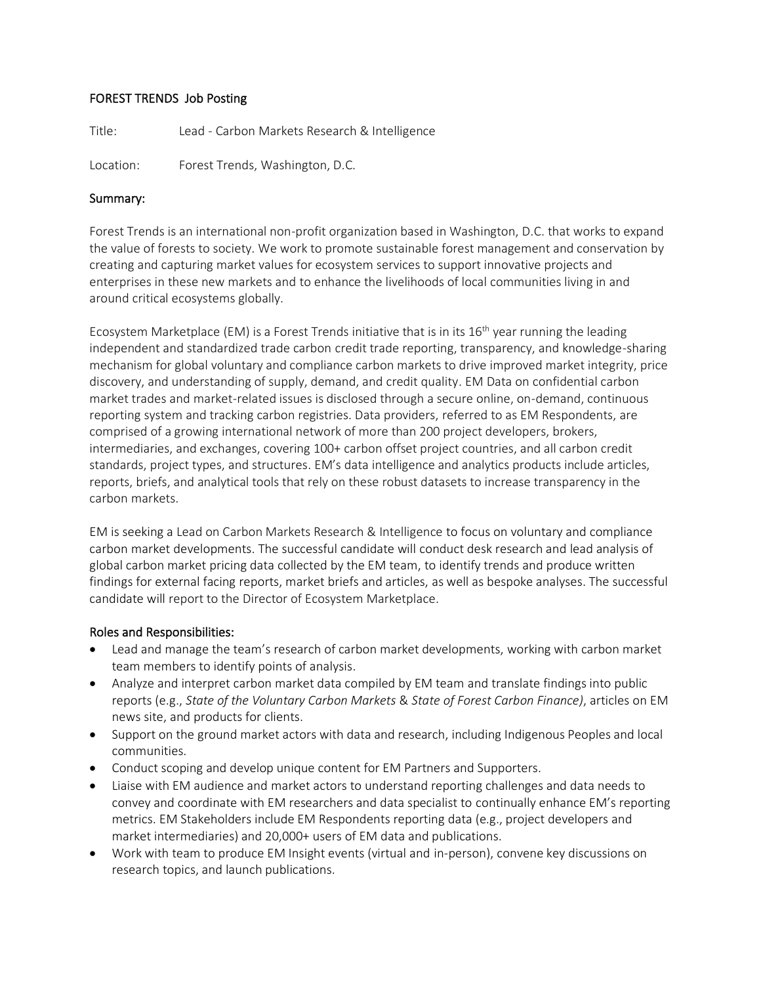# FOREST TRENDS Job Posting

Title: Lead - Carbon Markets Research & Intelligence

Location: Forest Trends, Washington, D.C.

## Summary:

Forest Trends is an international non-profit organization based in Washington, D.C. that works to expand the value of forests to society. We work to promote sustainable forest management and conservation by creating and capturing market values for ecosystem services to support innovative projects and enterprises in these new markets and to enhance the livelihoods of local communities living in and around critical ecosystems globally.

Ecosystem Marketplace (EM) is a Forest Trends initiative that is in its  $16<sup>th</sup>$  year running the leading independent and standardized trade carbon credit trade reporting, transparency, and knowledge-sharing mechanism for global voluntary and compliance carbon markets to drive improved market integrity, price discovery, and understanding of supply, demand, and credit quality. EM Data on confidential carbon market trades and market-related issues is disclosed through a secure online, on-demand, continuous reporting system and tracking carbon registries. Data providers, referred to as EM Respondents, are comprised of a growing international network of more than 200 project developers, brokers, intermediaries, and exchanges, covering 100+ carbon offset project countries, and all carbon credit standards, project types, and structures. EM's data intelligence and analytics products include articles, reports, briefs, and analytical tools that rely on these robust datasets to increase transparency in the carbon markets.

EM is seeking a Lead on Carbon Markets Research & Intelligence to focus on voluntary and compliance carbon market developments. The successful candidate will conduct desk research and lead analysis of global carbon market pricing data collected by the EM team, to identify trends and produce written findings for external facing reports, market briefs and articles, as well as bespoke analyses. The successful candidate will report to the Director of Ecosystem Marketplace.

## Roles and Responsibilities:

- Lead and manage the team's research of carbon market developments, working with carbon market team members to identify points of analysis.
- Analyze and interpret carbon market data compiled by EM team and translate findings into public reports (e.g., *State of the Voluntary Carbon Markets* & *State of Forest Carbon Finance)*, articles on EM news site, and products for clients.
- Support on the ground market actors with data and research, including Indigenous Peoples and local communities.
- Conduct scoping and develop unique content for EM Partners and Supporters.
- Liaise with EM audience and market actors to understand reporting challenges and data needs to convey and coordinate with EM researchers and data specialist to continually enhance EM's reporting metrics. EM Stakeholders include EM Respondents reporting data (e.g., project developers and market intermediaries) and 20,000+ users of EM data and publications.
- Work with team to produce EM Insight events (virtual and in-person), convene key discussions on research topics, and launch publications.